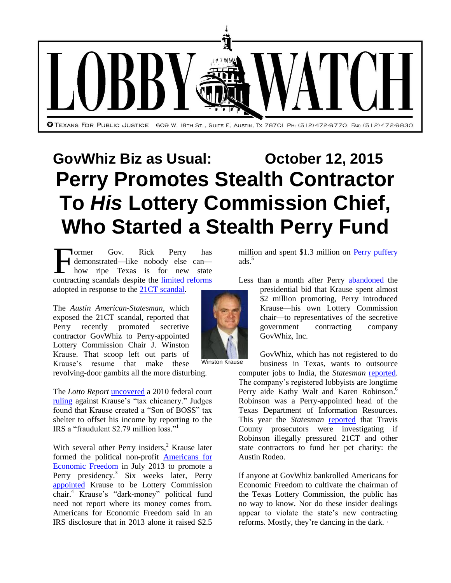

## **GovWhiz Biz as Usual: October 12, 2015 Perry Promotes Stealth Contractor To** *His* **Lottery Commission Chief, Who Started a Stealth Perry Fund**

ormer Gov. Rick Perry has demonstrated—like nobody else can how ripe Texas is for new state Former Gov. Rick Perry has<br>demonstrated—like nobody else can—<br>how ripe Texas is for new state<br>contracting scandals despite the <u>limited reforms</u> adopted in response to the [21CT scandal.](http://www.mystatesman.com/news/news/state-regional-govt-politics/how-the-states-21ct-deal-flew-under-the-radar/nj2cx/)

The *Austin American-Statesman*, which exposed the 21CT scandal, reported that Perry recently promoted secretive contractor GovWhiz to Perry-appointed Lottery Commission Chair J. Winston Krause. That scoop left out parts of Krause's resume that make these revolving-door gambits all the more disturbing.

The *Lotto Report* [uncovered](http://www.lottoreport.com/AuditPart8.htm) a 2010 federal court [ruling](http://www.lottoreport.com/KrauseIRSLegal10-50312.0.wpd.pdf) against Krause's "tax chicanery." Judges found that Krause created a "Son of BOSS" tax shelter to offset his income by reporting to the IRS a "fraudulent \$2.79 million loss." 1

With several other Perry insiders, $<sup>2</sup>$  Krause later</sup> formed the political non-profit [Americans for](http://www.usaeconfreedom.org/home/)  [Economic Freedom](http://www.usaeconfreedom.org/home/) in July 2013 to promote a Perry presidency.<sup>3</sup> Six weeks later, Perry [appointed](http://content.govdelivery.com/accounts/TXGOV/bulletins/898521) Krause to be Lottery Commission chair. <sup>4</sup> Krause's "dark-money" political fund need not report where its money comes from. Americans for Economic Freedom said in an IRS disclosure that in 2013 alone it raised \$2.5

million and spent \$1.3 million on [Perry puffery](https://www.youtube.com/watch?v=PaZ7fXtPcMU) ads<sup>5</sup>

Less than a month after Perry [abandoned](http://www.politico.com/story/2015/09/rick-perry-drops-out-presidential-race-213569) the

presidential bid that Krause spent almost \$2 million promoting, Perry introduced Krause—his own Lottery Commission chair—to representatives of the secretive government contracting company GovWhiz, Inc.

GovWhiz, which has not registered to do business in Texas, wants to outsource

computer jobs to India, the *Statesman* [reported.](http://www.mystatesman.com/news/news/rick-perrys-work-for-govwhiz-doesnt-pass-smell-tes/nny5b/) The company's registered lobbyists are longtime Perry aide Kathy Walt and Karen Robinson.<sup>6</sup> Robinson was a Perry-appointed head of the Texas Department of Information Resources. This year the *Statesman* [reported](http://www.mystatesman.com/news/news/state-regional-govt-politics/austin-rodeo-fundraising-a-focus-in-21ct-criminal-/nkrrC/) that Travis County prosecutors were investigating if Robinson illegally pressured 21CT and other state contractors to fund her pet charity: the Austin Rodeo.

If anyone at GovWhiz bankrolled Americans for Economic Freedom to cultivate the chairman of the Texas Lottery Commission, the public has no way to know. Nor do these insider dealings appear to violate the state's new contracting reforms. Mostly, they're dancing in the dark. ∙



Winston Krause